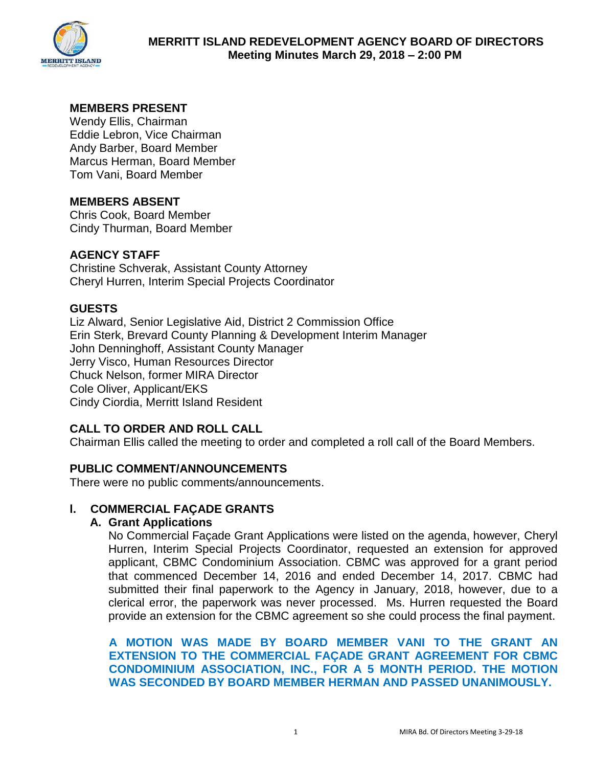

# **MEMBERS PRESENT**

Wendy Ellis, Chairman Eddie Lebron, Vice Chairman Andy Barber, Board Member Marcus Herman, Board Member Tom Vani, Board Member

## **MEMBERS ABSENT**

Chris Cook, Board Member Cindy Thurman, Board Member

## **AGENCY STAFF**

Christine Schverak, Assistant County Attorney Cheryl Hurren, Interim Special Projects Coordinator

## **GUESTS**

Liz Alward, Senior Legislative Aid, District 2 Commission Office Erin Sterk, Brevard County Planning & Development Interim Manager John Denninghoff, Assistant County Manager Jerry Visco, Human Resources Director Chuck Nelson, former MIRA Director Cole Oliver, Applicant/EKS Cindy Ciordia, Merritt Island Resident

# **CALL TO ORDER AND ROLL CALL**

Chairman Ellis called the meeting to order and completed a roll call of the Board Members.

## **PUBLIC COMMENT/ANNOUNCEMENTS**

There were no public comments/announcements.

## **l. COMMERCIAL FAÇADE GRANTS**

## **A. Grant Applications**

No Commercial Façade Grant Applications were listed on the agenda, however, Cheryl Hurren, Interim Special Projects Coordinator, requested an extension for approved applicant, CBMC Condominium Association. CBMC was approved for a grant period that commenced December 14, 2016 and ended December 14, 2017. CBMC had submitted their final paperwork to the Agency in January, 2018, however, due to a clerical error, the paperwork was never processed. Ms. Hurren requested the Board provide an extension for the CBMC agreement so she could process the final payment.

**A MOTION WAS MADE BY BOARD MEMBER VANI TO THE GRANT AN EXTENSION TO THE COMMERCIAL FAÇADE GRANT AGREEMENT FOR CBMC CONDOMINIUM ASSOCIATION, INC., FOR A 5 MONTH PERIOD. THE MOTION WAS SECONDED BY BOARD MEMBER HERMAN AND PASSED UNANIMOUSLY.**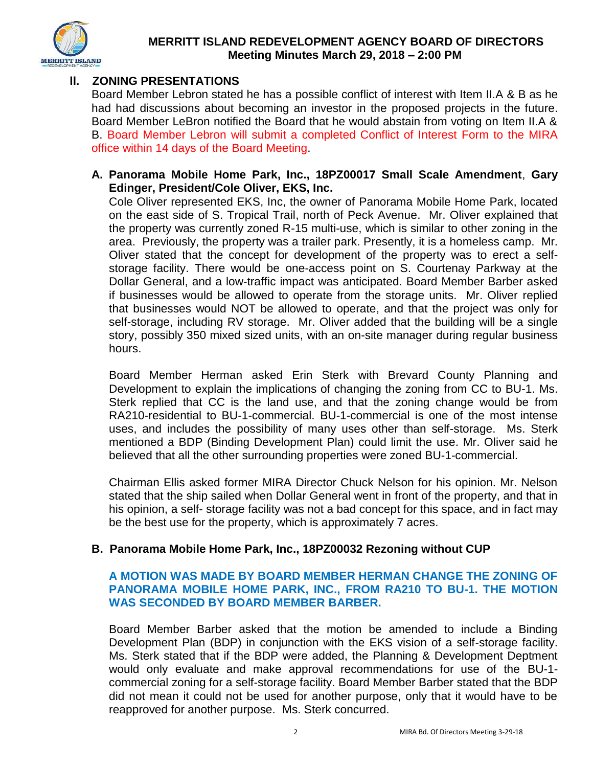

## **ll. ZONING PRESENTATIONS**

Board Member Lebron stated he has a possible conflict of interest with Item II.A & B as he had had discussions about becoming an investor in the proposed projects in the future. Board Member LeBron notified the Board that he would abstain from voting on Item II.A & B. Board Member Lebron will submit a completed Conflict of Interest Form to the MIRA office within 14 days of the Board Meeting.

## **A. Panorama Mobile Home Park, Inc., 18PZ00017 Small Scale Amendment**, **Gary Edinger, President/Cole Oliver, EKS, Inc.**

Cole Oliver represented EKS, Inc, the owner of Panorama Mobile Home Park, located on the east side of S. Tropical Trail, north of Peck Avenue. Mr. Oliver explained that the property was currently zoned R-15 multi-use, which is similar to other zoning in the area. Previously, the property was a trailer park. Presently, it is a homeless camp. Mr. Oliver stated that the concept for development of the property was to erect a selfstorage facility. There would be one-access point on S. Courtenay Parkway at the Dollar General, and a low-traffic impact was anticipated. Board Member Barber asked if businesses would be allowed to operate from the storage units. Mr. Oliver replied that businesses would NOT be allowed to operate, and that the project was only for self-storage, including RV storage. Mr. Oliver added that the building will be a single story, possibly 350 mixed sized units, with an on-site manager during regular business hours.

Board Member Herman asked Erin Sterk with Brevard County Planning and Development to explain the implications of changing the zoning from CC to BU-1. Ms. Sterk replied that CC is the land use, and that the zoning change would be from RA210-residential to BU-1-commercial. BU-1-commercial is one of the most intense uses, and includes the possibility of many uses other than self-storage. Ms. Sterk mentioned a BDP (Binding Development Plan) could limit the use. Mr. Oliver said he believed that all the other surrounding properties were zoned BU-1-commercial.

Chairman Ellis asked former MIRA Director Chuck Nelson for his opinion. Mr. Nelson stated that the ship sailed when Dollar General went in front of the property, and that in his opinion, a self- storage facility was not a bad concept for this space, and in fact may be the best use for the property, which is approximately 7 acres.

## **B. Panorama Mobile Home Park, Inc., 18PZ00032 Rezoning without CUP**

## **A MOTION WAS MADE BY BOARD MEMBER HERMAN CHANGE THE ZONING OF PANORAMA MOBILE HOME PARK, INC., FROM RA210 TO BU-1. THE MOTION WAS SECONDED BY BOARD MEMBER BARBER.**

Board Member Barber asked that the motion be amended to include a Binding Development Plan (BDP) in conjunction with the EKS vision of a self-storage facility. Ms. Sterk stated that if the BDP were added, the Planning & Development Deptment would only evaluate and make approval recommendations for use of the BU-1 commercial zoning for a self-storage facility. Board Member Barber stated that the BDP did not mean it could not be used for another purpose, only that it would have to be reapproved for another purpose. Ms. Sterk concurred.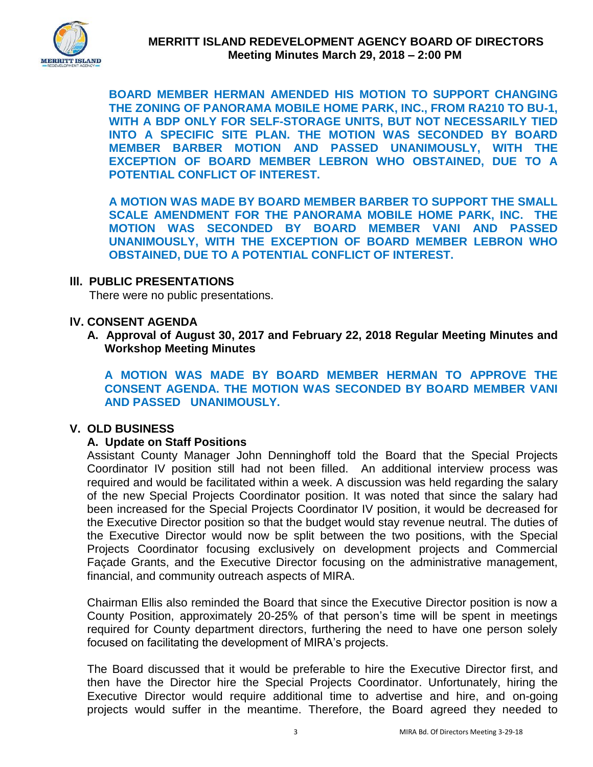

**BOARD MEMBER HERMAN AMENDED HIS MOTION TO SUPPORT CHANGING THE ZONING OF PANORAMA MOBILE HOME PARK, INC., FROM RA210 TO BU-1, WITH A BDP ONLY FOR SELF-STORAGE UNITS, BUT NOT NECESSARILY TIED INTO A SPECIFIC SITE PLAN. THE MOTION WAS SECONDED BY BOARD MEMBER BARBER MOTION AND PASSED UNANIMOUSLY, WITH THE EXCEPTION OF BOARD MEMBER LEBRON WHO OBSTAINED, DUE TO A POTENTIAL CONFLICT OF INTEREST.** 

**A MOTION WAS MADE BY BOARD MEMBER BARBER TO SUPPORT THE SMALL SCALE AMENDMENT FOR THE PANORAMA MOBILE HOME PARK, INC. THE MOTION WAS SECONDED BY BOARD MEMBER VANI AND PASSED UNANIMOUSLY, WITH THE EXCEPTION OF BOARD MEMBER LEBRON WHO OBSTAINED, DUE TO A POTENTIAL CONFLICT OF INTEREST.** 

### **lll. PUBLIC PRESENTATIONS**

There were no public presentations.

### **lV. CONSENT AGENDA**

**A. Approval of August 30, 2017 and February 22, 2018 Regular Meeting Minutes and Workshop Meeting Minutes** 

**A MOTION WAS MADE BY BOARD MEMBER HERMAN TO APPROVE THE CONSENT AGENDA. THE MOTION WAS SECONDED BY BOARD MEMBER VANI AND PASSED UNANIMOUSLY.** 

#### **V. OLD BUSINESS**

## **A. Update on Staff Positions**

Assistant County Manager John Denninghoff told the Board that the Special Projects Coordinator IV position still had not been filled. An additional interview process was required and would be facilitated within a week. A discussion was held regarding the salary of the new Special Projects Coordinator position. It was noted that since the salary had been increased for the Special Projects Coordinator IV position, it would be decreased for the Executive Director position so that the budget would stay revenue neutral. The duties of the Executive Director would now be split between the two positions, with the Special Projects Coordinator focusing exclusively on development projects and Commercial Façade Grants, and the Executive Director focusing on the administrative management, financial, and community outreach aspects of MIRA.

Chairman Ellis also reminded the Board that since the Executive Director position is now a County Position, approximately 20-25% of that person's time will be spent in meetings required for County department directors, furthering the need to have one person solely focused on facilitating the development of MIRA's projects.

The Board discussed that it would be preferable to hire the Executive Director first, and then have the Director hire the Special Projects Coordinator. Unfortunately, hiring the Executive Director would require additional time to advertise and hire, and on-going projects would suffer in the meantime. Therefore, the Board agreed they needed to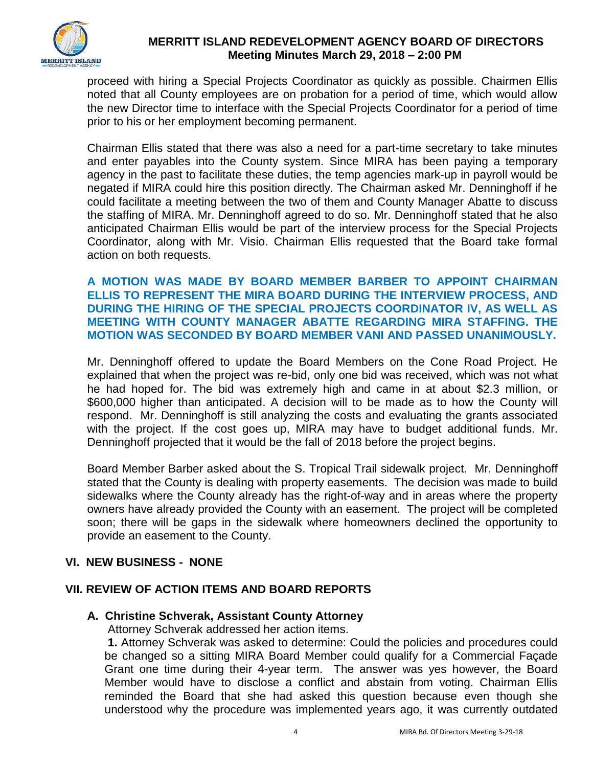

proceed with hiring a Special Projects Coordinator as quickly as possible. Chairmen Ellis noted that all County employees are on probation for a period of time, which would allow the new Director time to interface with the Special Projects Coordinator for a period of time prior to his or her employment becoming permanent.

Chairman Ellis stated that there was also a need for a part-time secretary to take minutes and enter payables into the County system. Since MIRA has been paying a temporary agency in the past to facilitate these duties, the temp agencies mark-up in payroll would be negated if MIRA could hire this position directly. The Chairman asked Mr. Denninghoff if he could facilitate a meeting between the two of them and County Manager Abatte to discuss the staffing of MIRA. Mr. Denninghoff agreed to do so. Mr. Denninghoff stated that he also anticipated Chairman Ellis would be part of the interview process for the Special Projects Coordinator, along with Mr. Visio. Chairman Ellis requested that the Board take formal action on both requests.

### **A MOTION WAS MADE BY BOARD MEMBER BARBER TO APPOINT CHAIRMAN ELLIS TO REPRESENT THE MIRA BOARD DURING THE INTERVIEW PROCESS, AND DURING THE HIRING OF THE SPECIAL PROJECTS COORDINATOR IV, AS WELL AS MEETING WITH COUNTY MANAGER ABATTE REGARDING MIRA STAFFING. THE MOTION WAS SECONDED BY BOARD MEMBER VANI AND PASSED UNANIMOUSLY.**

Mr. Denninghoff offered to update the Board Members on the Cone Road Project. He explained that when the project was re-bid, only one bid was received, which was not what he had hoped for. The bid was extremely high and came in at about \$2.3 million, or \$600,000 higher than anticipated. A decision will to be made as to how the County will respond. Mr. Denninghoff is still analyzing the costs and evaluating the grants associated with the project. If the cost goes up, MIRA may have to budget additional funds. Mr. Denninghoff projected that it would be the fall of 2018 before the project begins.

Board Member Barber asked about the S. Tropical Trail sidewalk project. Mr. Denninghoff stated that the County is dealing with property easements. The decision was made to build sidewalks where the County already has the right-of-way and in areas where the property owners have already provided the County with an easement. The project will be completed soon; there will be gaps in the sidewalk where homeowners declined the opportunity to provide an easement to the County.

# **VI. NEW BUSINESS - NONE**

# **VII. REVIEW OF ACTION ITEMS AND BOARD REPORTS**

## **A. Christine Schverak, Assistant County Attorney**

Attorney Schverak addressed her action items.

 **1.** Attorney Schverak was asked to determine: Could the policies and procedures could be changed so a sitting MIRA Board Member could qualify for a Commercial Façade Grant one time during their 4-year term. The answer was yes however, the Board Member would have to disclose a conflict and abstain from voting. Chairman Ellis reminded the Board that she had asked this question because even though she understood why the procedure was implemented years ago, it was currently outdated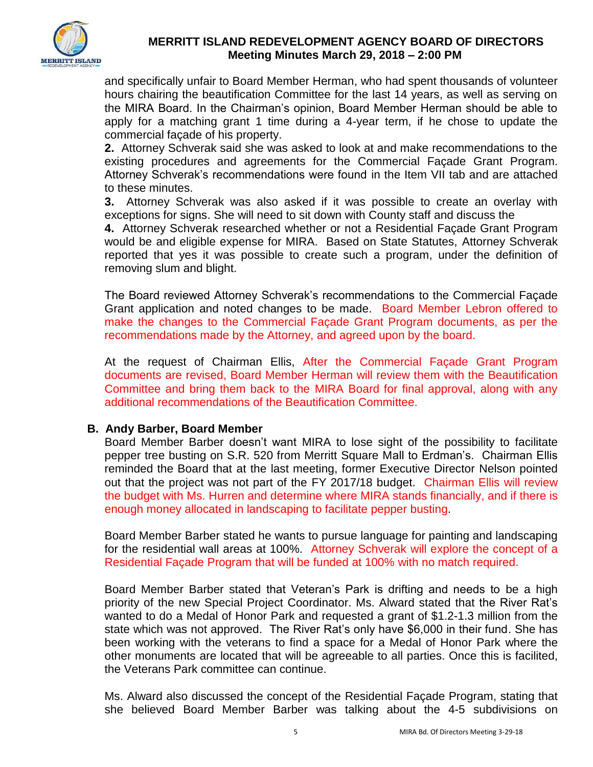

and specifically unfair to Board Member Herman, who had spent thousands of volunteer hours chairing the beautification Committee for the last 14 years, as well as serving on the MIRA Board. In the Chairman's opinion, Board Member Herman should be able to apply for a matching grant 1 time during a 4-year term, if he chose to update the commercial façade of his property.

**2.** Attorney Schverak said she was asked to look at and make recommendations to the existing procedures and agreements for the Commercial Façade Grant Program. Attorney Schverak's recommendations were found in the Item VII tab and are attached to these minutes.

**3.** Attorney Schverak was also asked if it was possible to create an overlay with exceptions for signs. She will need to sit down with County staff and discuss the

**4.** Attorney Schverak researched whether or not a Residential Façade Grant Program would be and eligible expense for MIRA. Based on State Statutes, Attorney Schverak reported that yes it was possible to create such a program, under the definition of removing slum and blight.

The Board reviewed Attorney Schverak's recommendations to the Commercial Façade Grant application and noted changes to be made. Board Member Lebron offered to make the changes to the Commercial Façade Grant Program documents, as per the recommendations made by the Attorney, and agreed upon by the board.

At the request of Chairman Ellis, After the Commercial Façade Grant Program documents are revised, Board Member Herman will review them with the Beautification Committee and bring them back to the MIRA Board for final approval, along with any additional recommendations of the Beautification Committee.

## **B. Andy Barber, Board Member**

Board Member Barber doesn't want MIRA to lose sight of the possibility to facilitate pepper tree busting on S.R. 520 from Merritt Square Mall to Erdman's. Chairman Ellis reminded the Board that at the last meeting, former Executive Director Nelson pointed out that the project was not part of the FY 2017/18 budget. Chairman Ellis will review the budget with Ms. Hurren and determine where MIRA stands financially, and if there is enough money allocated in landscaping to facilitate pepper busting.

 Board Member Barber stated he wants to pursue language for painting and landscaping for the residential wall areas at 100%. Attorney Schverak will explore the concept of a Residential Façade Program that will be funded at 100% with no match required.

 Board Member Barber stated that Veteran's Park is drifting and needs to be a high priority of the new Special Project Coordinator. Ms. Alward stated that the River Rat's wanted to do a Medal of Honor Park and requested a grant of \$1.2-1.3 million from the state which was not approved. The River Rat's only have \$6,000 in their fund. She has been working with the veterans to find a space for a Medal of Honor Park where the other monuments are located that will be agreeable to all parties. Once this is facilited, the Veterans Park committee can continue.

Ms. Alward also discussed the concept of the Residential Façade Program, stating that she believed Board Member Barber was talking about the 4-5 subdivisions on